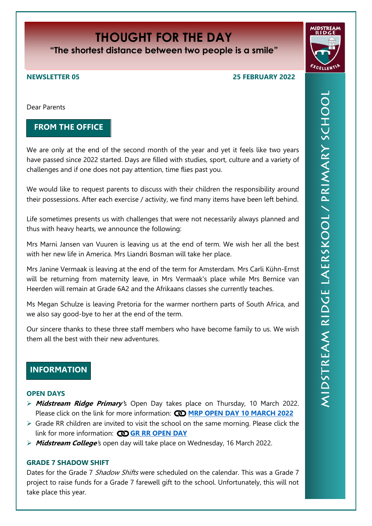# **THOUGHT FOR THE DAY**

**"The shortest distance between two people is a smile"**

## **NEWSLETTER 05 25 FEBRUARY 2022**

Dear Parents

# **FROM THE OFFICE**

We are only at the end of the second month of the year and yet it feels like two years have passed since 2022 started. Days are filled with studies, sport, culture and a variety of challenges and if one does not pay attention, time flies past you.

We would like to request parents to discuss with their children the responsibility around their possessions. After each exercise / activity, we find many items have been left behind.

Life sometimes presents us with challenges that were not necessarily always planned and thus with heavy hearts, we announce the following:

Mrs Marni Jansen van Vuuren is leaving us at the end of term. We wish her all the best with her new life in America. Mrs Liandri Bosman will take her place.

Mrs Janine Vermaak is leaving at the end of the term for Amsterdam. Mrs Carli Kühn-Ernst will be returning from maternity leave, in Mrs Vermaak's place while Mrs Bernice van Heerden will remain at Grade 6A2 and the Afrikaans classes she currently teaches.

Ms Megan Schulze is leaving Pretoria for the warmer northern parts of South Africa, and we also say good-bye to her at the end of the term.

Our sincere thanks to these three staff members who have become family to us. We wish them all the best with their new adventures.

# **INFORMATION**

# **OPEN DAYS**

- **Midstream Ridge Primary'**s Open Day takes place on Thursday, 10 March 2022. Please click on the link for more information: **CO [MRP OPEN DAY 10 MARCH 2022](https://midstreamridgeprimary.co.za/wp-content/uploads/2022/02/OpenDay.pdf)**
- $\triangleright$  Grade RR children are invited to visit the school on the same morning. Please click the link for more information: **CD [GR RR OPEN DAY](https://www.youtube.com/watch?v=DNHVLZ7ryPY)**
- **Midstream College**'s open day will take place on Wednesday, 16 March 2022.

# **GRADE 7 SHADOW SHIFT**

Dates for the Grade 7 Shadow Shifts were scheduled on the calendar. This was a Grade 7 project to raise funds for a Grade 7 farewell gift to the school. Unfortunately, this will not take place this year.

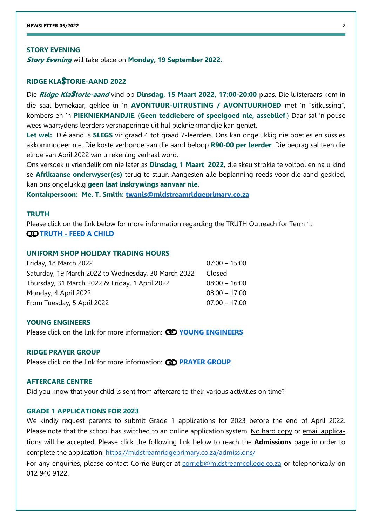#### **STORY EVENING**

**Story Evening** will take place on **Monday, 19 September 2022.**

### **RIDGE KLA**S**TORIE-AAND 2022**

Die **Ridge Kla**S**torie-aand** vind op **Dinsdag, 15 Maart 2022, 17:00-20:00** plaas. Die luisteraars kom in die saal bymekaar, geklee in 'n **AVONTUUR-UITRUSTING / AVONTUURHOED** met 'n "sitkussing", kombers en 'n **PIEKNIEKMANDJIE**. (**Geen teddiebere of speelgoed nie, asseblief**.) Daar sal 'n pouse wees waartydens leerders versnaperinge uit hul piekniekmandjie kan geniet.

**Let wel:** Dié aand is **SLEGS** vir graad 4 tot graad 7-leerders. Ons kan ongelukkig nie boeties en sussies akkommodeer nie. Die koste verbonde aan die aand beloop **R90-00 per leerder**. Die bedrag sal teen die einde van April 2022 van u rekening verhaal word.

Ons versoek u vriendelik om nie later as **Dinsdag**, **1 Maart 2022**, die skeurstrokie te voltooi en na u kind se **Afrikaanse onderwyser(es)** terug te stuur. Aangesien alle beplanning reeds voor die aand geskied, kan ons ongelukkig **geen laat inskrywings aanvaar nie**.

**Kontakpersoon: Me. T. Smith: [twanis@midstreamridgeprimary.co.za](mailto:twanis@midstreamridgeprimary.co.za)**

#### **TRUTH**

Please click on the link below for more information regarding the TRUTH Outreach for Term 1: **CO TRUTH - [FEED A CHILD](https://midstreamridgeprimary.co.za/wp-content/uploads/2022/02/FeedaChildEng2022.pdf)** 

# **UNIFORM SHOP HOLIDAY TRADING HOURS**

| Friday, 18 March 2022                               | $07:00 - 15:00$ |
|-----------------------------------------------------|-----------------|
| Saturday, 19 March 2022 to Wednesday, 30 March 2022 | Closed          |
| Thursday, 31 March 2022 & Friday, 1 April 2022      | $08:00 - 16:00$ |
| Monday, 4 April 2022                                | $08:00 - 17:00$ |
| From Tuesday, 5 April 2022                          | $07:00 - 17:00$ |
|                                                     |                 |

#### **YOUNG ENGINEERS**

Please click on the link for more information: **CO [YOUNG ENGINEERS](https://midstreamridgeprimary.co.za/wp-content/uploads/2022/02/YoungEngineers.pdf)** 

#### **RIDGE PRAYER GROUP**

Please click on the link for more information: **CO [PRAYER GROUP](https://midstreamridgeprimary.co.za/wp-content/uploads/2022/02/Prayergroup.pdf)** 

#### **AFTERCARE CENTRE**

Did you know that your child is sent from aftercare to their various activities on time?

#### **GRADE 1 APPLICATIONS FOR 2023**

We kindly request parents to submit Grade 1 applications for 2023 before the end of April 2022. Please note that the school has switched to an online application system. No hard copy or email applications will be accepted. Please click the following link below to reach the **Admissions** page in order to complete the application:<https://midstreamridgeprimary.co.za/admissions/>

For any enquiries, please contact Corrie Burger at [corrieb@midstreamcollege.co.za](mailto:corrieb@midstreamcollege.co.za) or telephonically on 012 940 9122.